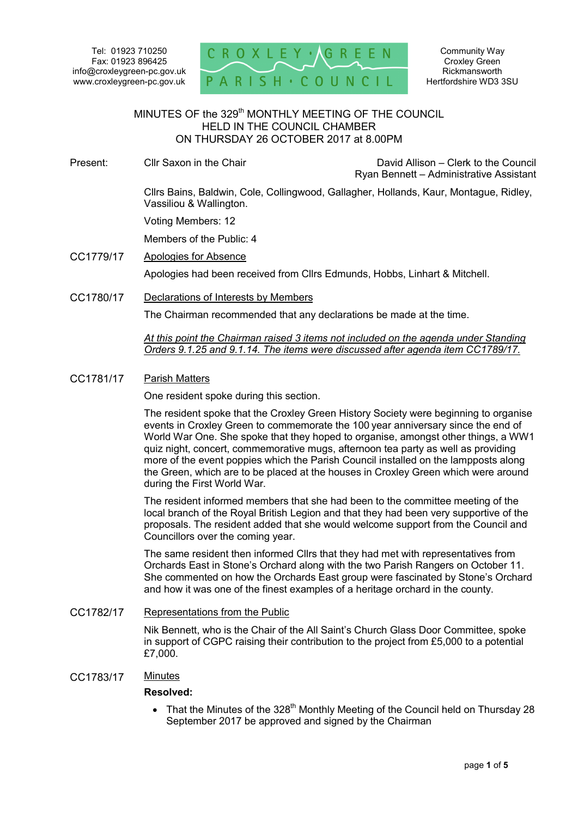Tel: 01923 710250 Fax: 01923 896425 info@croxleygreen-pc.gov.uk www.croxleygreen-pc.gov.uk



#### MINUTES OF the 329<sup>th</sup> MONTHLY MEETING OF THE COUNCIL HELD IN THE COUNCIL CHAMBER ON THURSDAY 26 OCTOBER 2017 at 8.00PM Ĭ

Present: Cllr Saxon in the Chair Chair David Allison – Clerk to the Council

Ryan Bennett – Administrative Assistant

 Cllrs Bains, Baldwin, Cole, Collingwood, Gallagher, Hollands, Kaur, Montague, Ridley, Vassiliou & Wallington.

Voting Members: 12

Members of the Public: 4

- CC1779/17 Apologies for Absence Apologies had been received from Cllrs Edmunds, Hobbs, Linhart & Mitchell.
- CC1780/17 Declarations of Interests by Members

The Chairman recommended that any declarations be made at the time.

*At this point the Chairman raised 3 items not included on the agenda under Standing Orders 9.1.25 and 9.1.14. The items were discussed after agenda item CC1789/17.* 

### CC1781/17 Parish Matters

One resident spoke during this section.

The resident spoke that the Croxley Green History Society were beginning to organise events in Croxley Green to commemorate the 100 year anniversary since the end of World War One. She spoke that they hoped to organise, amongst other things, a WW1 quiz night, concert, commemorative mugs, afternoon tea party as well as providing more of the event poppies which the Parish Council installed on the lampposts along the Green, which are to be placed at the houses in Croxley Green which were around during the First World War.

The resident informed members that she had been to the committee meeting of the local branch of the Royal British Legion and that they had been very supportive of the proposals. The resident added that she would welcome support from the Council and Councillors over the coming year.

The same resident then informed Cllrs that they had met with representatives from Orchards East in Stone's Orchard along with the two Parish Rangers on October 11. She commented on how the Orchards East group were fascinated by Stone's Orchard and how it was one of the finest examples of a heritage orchard in the county.

## CC1782/17 Representations from the Public

Nik Bennett, who is the Chair of the All Saint's Church Glass Door Committee, spoke in support of CGPC raising their contribution to the project from £5,000 to a potential £7,000.

### CC1783/17 Minutes

### **Resolved:**

• That the Minutes of the 328<sup>th</sup> Monthly Meeting of the Council held on Thursday 28 September 2017 be approved and signed by the Chairman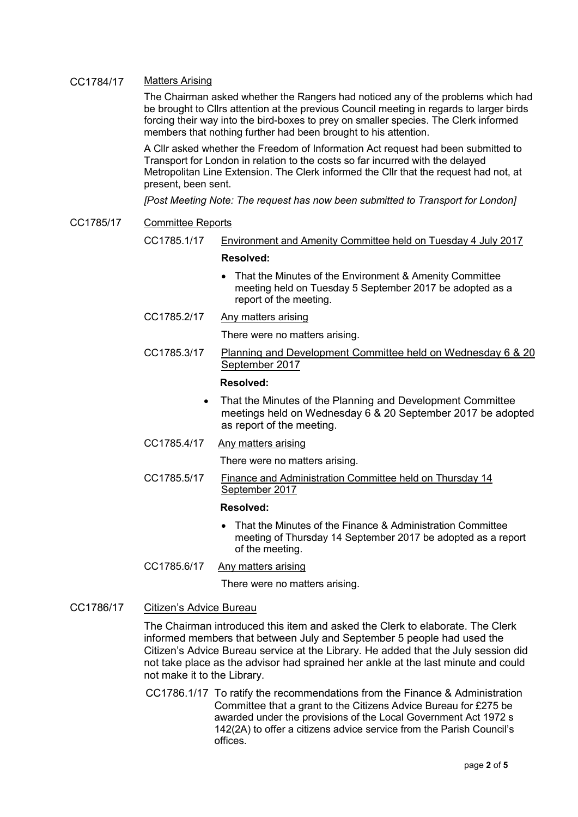# CC1784/17 Matters Arising

The Chairman asked whether the Rangers had noticed any of the problems which had be brought to Cllrs attention at the previous Council meeting in regards to larger birds forcing their way into the bird-boxes to prey on smaller species. The Clerk informed members that nothing further had been brought to his attention.

A Cllr asked whether the Freedom of Information Act request had been submitted to Transport for London in relation to the costs so far incurred with the delayed Metropolitan Line Extension. The Clerk informed the Cllr that the request had not, at present, been sent.

*[Post Meeting Note: The request has now been submitted to Transport for London]* 

#### CC1785/17 Committee Reports

CC1785.1/17 Environment and Amenity Committee held on Tuesday 4 July 2017

#### **Resolved:**

• That the Minutes of the Environment & Amenity Committee meeting held on Tuesday 5 September 2017 be adopted as a report of the meeting.

### CC1785.2/17 Any matters arising

There were no matters arising.

CC1785.3/17 Planning and Development Committee held on Wednesday 6 & 20 September 2017

### **Resolved:**

• That the Minutes of the Planning and Development Committee meetings held on Wednesday 6 & 20 September 2017 be adopted as report of the meeting.

### CC1785.4/17 Any matters arising

There were no matters arising.

CC1785.5/17 Finance and Administration Committee held on Thursday 14 September 2017

#### **Resolved:**

• That the Minutes of the Finance & Administration Committee meeting of Thursday 14 September 2017 be adopted as a report of the meeting.

# CC1785.6/17 Any matters arising

There were no matters arising.

### CC1786/17 Citizen's Advice Bureau

The Chairman introduced this item and asked the Clerk to elaborate. The Clerk informed members that between July and September 5 people had used the Citizen's Advice Bureau service at the Library. He added that the July session did not take place as the advisor had sprained her ankle at the last minute and could not make it to the Library.

CC1786.1/17 To ratify the recommendations from the Finance & Administration Committee that a grant to the Citizens Advice Bureau for £275 be awarded under the provisions of the Local Government Act 1972 s 142(2A) to offer a citizens advice service from the Parish Council's offices.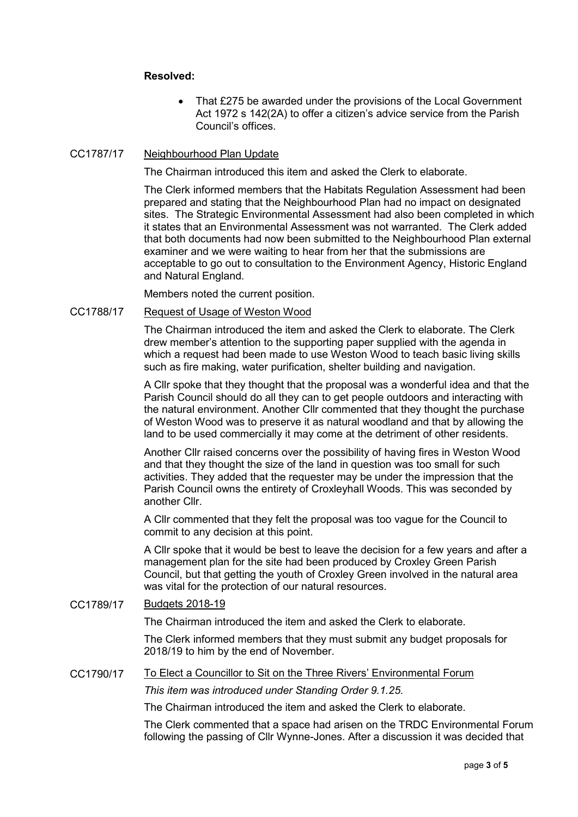# **Resolved:**

• That £275 be awarded under the provisions of the Local Government Act 1972 s 142(2A) to offer a citizen's advice service from the Parish Council's offices.

## CC1787/17 Neighbourhood Plan Update

The Chairman introduced this item and asked the Clerk to elaborate.

The Clerk informed members that the Habitats Regulation Assessment had been prepared and stating that the Neighbourhood Plan had no impact on designated sites. The Strategic Environmental Assessment had also been completed in which it states that an Environmental Assessment was not warranted. The Clerk added that both documents had now been submitted to the Neighbourhood Plan external examiner and we were waiting to hear from her that the submissions are acceptable to go out to consultation to the Environment Agency, Historic England and Natural England.

Members noted the current position.

## CC1788/17 Request of Usage of Weston Wood

The Chairman introduced the item and asked the Clerk to elaborate. The Clerk drew member's attention to the supporting paper supplied with the agenda in which a request had been made to use Weston Wood to teach basic living skills such as fire making, water purification, shelter building and navigation.

A Cllr spoke that they thought that the proposal was a wonderful idea and that the Parish Council should do all they can to get people outdoors and interacting with the natural environment. Another Cllr commented that they thought the purchase of Weston Wood was to preserve it as natural woodland and that by allowing the land to be used commercially it may come at the detriment of other residents.

Another Cllr raised concerns over the possibility of having fires in Weston Wood and that they thought the size of the land in question was too small for such activities. They added that the requester may be under the impression that the Parish Council owns the entirety of Croxleyhall Woods. This was seconded by another Cllr.

A Cllr commented that they felt the proposal was too vague for the Council to commit to any decision at this point.

A Cllr spoke that it would be best to leave the decision for a few years and after a management plan for the site had been produced by Croxley Green Parish Council, but that getting the youth of Croxley Green involved in the natural area was vital for the protection of our natural resources.

CC1789/17 Budgets 2018-19

The Chairman introduced the item and asked the Clerk to elaborate.

The Clerk informed members that they must submit any budget proposals for 2018/19 to him by the end of November.

### CC1790/17 To Elect a Councillor to Sit on the Three Rivers' Environmental Forum

*This item was introduced under Standing Order 9.1.25.* 

The Chairman introduced the item and asked the Clerk to elaborate.

The Clerk commented that a space had arisen on the TRDC Environmental Forum following the passing of Cllr Wynne-Jones. After a discussion it was decided that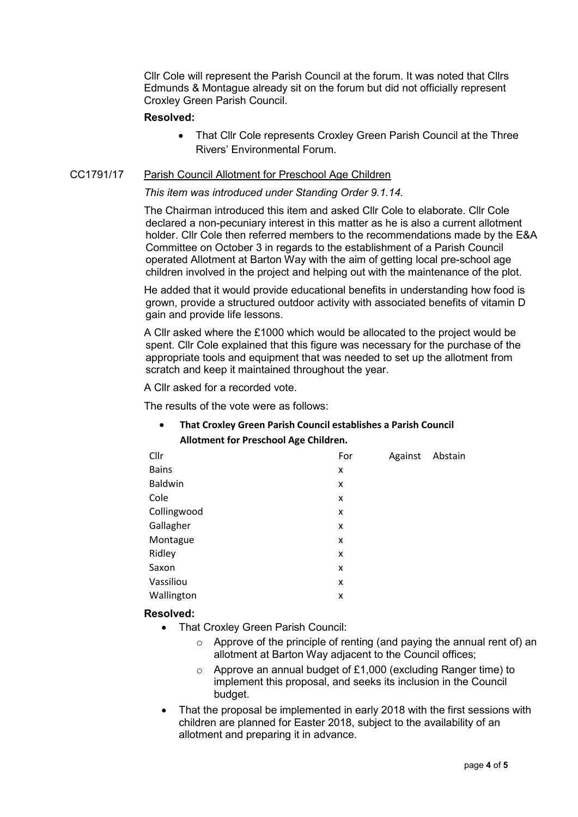Cllr Cole will represent the Parish Council at the forum. It was noted that Cllrs Edmunds & Montague already sit on the forum but did not officially represent Croxley Green Parish Council.

# **Resolved:**

• That Cllr Cole represents Croxley Green Parish Council at the Three Rivers' Environmental Forum.

# CC1791/17 Parish Council Allotment for Preschool Age Children

## *This item was introduced under Standing Order 9.1.14.*

The Chairman introduced this item and asked Cllr Cole to elaborate. Cllr Cole declared a non-pecuniary interest in this matter as he is also a current allotment holder. Cllr Cole then referred members to the recommendations made by the E&A Committee on October 3 in regards to the establishment of a Parish Council operated Allotment at Barton Way with the aim of getting local pre-school age children involved in the project and helping out with the maintenance of the plot.

He added that it would provide educational benefits in understanding how food is grown, provide a structured outdoor activity with associated benefits of vitamin D gain and provide life lessons.

A Cllr asked where the £1000 which would be allocated to the project would be spent. Cllr Cole explained that this figure was necessary for the purchase of the appropriate tools and equipment that was needed to set up the allotment from scratch and keep it maintained throughout the year.

A Cllr asked for a recorded vote.

The results of the vote were as follows:

• **That Croxley Green Parish Council establishes a Parish Council Allotment for Preschool Age Children.** 

| Cllr         | For | Against | Abstain |
|--------------|-----|---------|---------|
| <b>Bains</b> | x   |         |         |
| Baldwin      | X   |         |         |
| Cole         | X   |         |         |
| Collingwood  | X   |         |         |
| Gallagher    | X   |         |         |
| Montague     | x   |         |         |
| Ridley       | X   |         |         |
| Saxon        | X   |         |         |
| Vassiliou    | X   |         |         |
| Wallington   | X   |         |         |

# **Resolved:**

- That Croxley Green Parish Council:
	- $\circ$  Approve of the principle of renting (and paying the annual rent of) an allotment at Barton Way adjacent to the Council offices;
	- $\circ$  Approve an annual budget of £1,000 (excluding Ranger time) to implement this proposal, and seeks its inclusion in the Council budget.
- That the proposal be implemented in early 2018 with the first sessions with children are planned for Easter 2018, subject to the availability of an allotment and preparing it in advance.